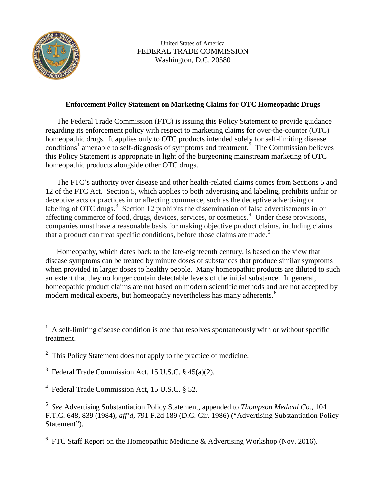

l

United States of America FEDERAL TRADE COMMISSION Washington, D.C. 20580

## **Enforcement Policy Statement on Marketing Claims for OTC Homeopathic Drugs**

The Federal Trade Commission (FTC) is issuing this Policy Statement to provide guidance regarding its enforcement policy with respect to marketing claims for over-the-counter (OTC) homeopathic drugs. It applies only to OTC products intended solely for self-limiting disease conditions<sup>[1](#page-0-0)</sup> amenable to self-diagnosis of symptoms and treatment.<sup>[2](#page-0-1)</sup> The Commission believes this Policy Statement is appropriate in light of the burgeoning mainstream marketing of OTC homeopathic products alongside other OTC drugs.

The FTC's authority over disease and other health-related claims comes from Sections 5 and 12 of the FTC Act. Section 5, which applies to both advertising and labeling, prohibits unfair or deceptive acts or practices in or affecting commerce, such as the deceptive advertising or labeling of OTC drugs.<sup>[3](#page-0-2)</sup> Section 12 prohibits the dissemination of false advertisements in or affecting commerce of food, drugs, devices, services, or cosmetics.<sup>[4](#page-0-3)</sup> Under these provisions, companies must have a reasonable basis for making objective product claims, including claims that a product can treat specific conditions, before those claims are made.<sup>[5](#page-0-4)</sup>

Homeopathy, which dates back to the late-eighteenth century, is based on the view that disease symptoms can be treated by minute doses of substances that produce similar symptoms when provided in larger doses to healthy people. Many homeopathic products are diluted to such an extent that they no longer contain detectable levels of the initial substance. In general, homeopathic product claims are not based on modern scientific methods and are not accepted by modern medical experts, but homeopathy nevertheless has many adherents.<sup>[6](#page-0-5)</sup>

<span id="page-0-5"></span> $6$  FTC Staff Report on the Homeopathic Medicine & Advertising Workshop (Nov. 2016).

<span id="page-0-0"></span><sup>1</sup> A self-limiting disease condition is one that resolves spontaneously with or without specific treatment.

<span id="page-0-1"></span> $2$  This Policy Statement does not apply to the practice of medicine.

<span id="page-0-2"></span><sup>&</sup>lt;sup>3</sup> Federal Trade Commission Act, 15 U.S.C. § 45(a)(2).

<span id="page-0-3"></span><sup>4</sup> Federal Trade Commission Act, 15 U.S.C. § 52.

<span id="page-0-4"></span><sup>5</sup> *See* Advertising Substantiation Policy Statement, appended to *Thompson Medical Co.*, 104 F.T.C. 648, 839 (1984), *aff'd,* 791 F.2d 189 (D.C. Cir. 1986) ("Advertising Substantiation Policy Statement").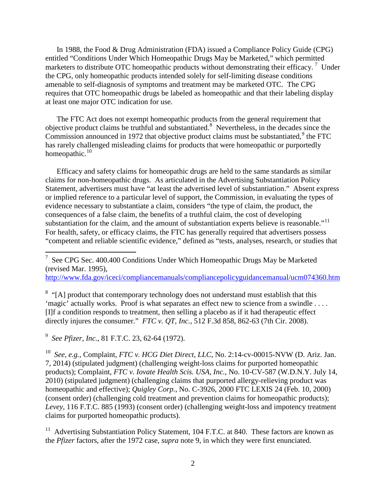In 1988, the Food & Drug Administration (FDA) issued a Compliance Policy Guide (CPG) entitled "Conditions Under Which Homeopathic Drugs May be Marketed," which permitted marketers to distribute OTC homeopathic products without demonstrating their efficacy.<sup>[7](#page-1-0)</sup> Under the CPG, only homeopathic products intended solely for self-limiting disease conditions amenable to self-diagnosis of symptoms and treatment may be marketed OTC. The CPG requires that OTC homeopathic drugs be labeled as homeopathic and that their labeling display at least one major OTC indication for use.

The FTC Act does not exempt homeopathic products from the general requirement that objective product claims be truthful and substantiated.<sup>[8](#page-1-1)</sup> Nevertheless, in the decades since the Commission announced in 1[9](#page-1-2)72 that objective product claims must be substantiated, $9$  the FTC has rarely challenged misleading claims for products that were homeopathic or purportedly homeopathic.<sup>[10](#page-1-3)</sup>

Efficacy and safety claims for homeopathic drugs are held to the same standards as similar claims for non-homeopathic drugs. As articulated in the Advertising Substantiation Policy Statement, advertisers must have "at least the advertised level of substantiation." Absent express or implied reference to a particular level of support, the Commission, in evaluating the types of evidence necessary to substantiate a claim, considers "the type of claim, the product, the consequences of a false claim, the benefits of a truthful claim, the cost of developing substantiation for the claim, and the amount of substantiation experts believe is reasonable."<sup>[11](#page-1-4)</sup> For health, safety, or efficacy claims, the FTC has generally required that advertisers possess "competent and reliable scientific evidence," defined as "tests, analyses, research, or studies that

<span id="page-1-0"></span>7 See CPG Sec. 400.400 Conditions Under Which Homeopathic Drugs May be Marketed (revised Mar. 1995),

<http://www.fda.gov/iceci/compliancemanuals/compliancepolicyguidancemanual/ucm074360.htm>

<span id="page-1-1"></span><sup>8</sup> "[A] product that contemporary technology does not understand must establish that this 'magic' actually works. Proof is what separates an effect new to science from a swindle . . . . [I]f a condition responds to treatment, then selling a placebo as if it had therapeutic effect directly injures the consumer." *FTC v. QT, Inc.*, 512 F.3d 858, 862-63 (7th Cir. 2008).

<span id="page-1-2"></span>9 *See Pfizer, Inc.*, 81 F.T.C. 23, 62-64 (1972).

l

<span id="page-1-3"></span>10 *See, e.g.*, Complaint, *FTC v. HCG Diet Direct, LLC*, No. 2:14-cv-00015-NVW (D. Ariz. Jan. 7, 2014) (stipulated judgment) (challenging weight-loss claims for purported homeopathic products); Complaint, *FTC v. Iovate Health Scis. USA, Inc.*, No. 10-CV-587 (W.D.N.Y. July 14, 2010) (stipulated judgment) (challenging claims that purported allergy-relieving product was homeopathic and effective); *Quigley Corp.*, No. C-3926, 2000 FTC LEXIS 24 (Feb. 10, 2000) (consent order) (challenging cold treatment and prevention claims for homeopathic products); *Levey*, 116 F.T.C. 885 (1993) (consent order) (challenging weight-loss and impotency treatment claims for purported homeopathic products).

<span id="page-1-4"></span> $11$  Advertising Substantiation Policy Statement, 104 F.T.C. at 840. These factors are known as the *Pfizer* factors, after the 1972 case, *supra* note 9, in which they were first enunciated.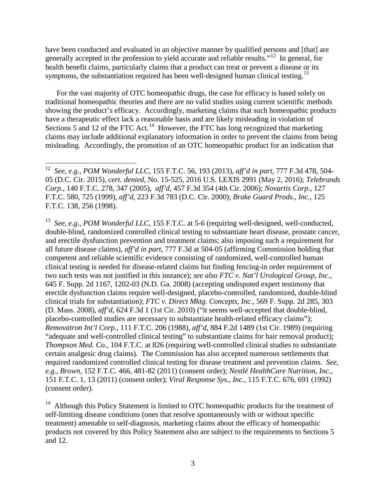have been conducted and evaluated in an objective manner by qualified persons and [that] are generally accepted in the profession to yield accurate and reliable results."[12](#page-2-0) In general, for health benefit claims, particularly claims that a product can treat or prevent a disease or its symptoms, the substantiation required has been well-designed human clinical testing.<sup>[13](#page-2-1)</sup>

For the vast majority of OTC homeopathic drugs, the case for efficacy is based solely on traditional homeopathic theories and there are no valid studies using current scientific methods showing the product's efficacy. Accordingly, marketing claims that such homeopathic products have a therapeutic effect lack a reasonable basis and are likely misleading in violation of Sections 5 and 12 of the FTC Act.<sup>14</sup> However, the FTC has long recognized that marketing claims may include additional explanatory information in order to prevent the claims from being misleading. Accordingly, the promotion of an OTC homeopathic product for an indication that

<span id="page-2-1"></span>13 *See, e.g*., *POM Wonderful LLC,* 155 F.T.C. at 5-6 (requiring well-designed, well-conducted, double-blind, randomized controlled clinical testing to substantiate heart disease, prostate cancer, and erectile dysfunction prevention and treatment claims; also imposing such a requirement for all future disease claims), *aff'd in part*, 777 F.3d at 504-05 (affirming Commission holding that competent and reliable scientific evidence consisting of randomized, well-controlled human clinical testing is needed for disease-related claims but finding fencing-in order requirement of two such tests was not justified in this instance); *see also FTC v. Nat'l Urological Group, Inc.,* 645 F. Supp. 2d 1167, 1202-03 (N.D. Ga. 2008) (accepting undisputed expert testimony that erectile dysfunction claims require well-designed, placebo-controlled, randomized, double-blind clinical trials for substantiation); *FTC v. Direct Mktg. Concepts, Inc.,* 569 F. Supp. 2d 285, 303 (D. Mass. 2008), *aff'd*, 624 F.3d 1 (1st Cir. 2010) ("it seems well-accepted that double-blind, placebo-controlled studies are necessary to substantiate health-related efficacy claims"); *Removatron Int'l Corp.*, 111 F.T.C. 206 (1988), *aff'd*, 884 F.2d 1489 (1st Cir. 1989) (requiring "adequate and well-controlled clinical testing" to substantiate claims for hair removal product); *Thompson Med. Co.*, 104 F.T.C. at 826 (requiring well-controlled clinical studies to substantiate certain analgesic drug claims). The Commission has also accepted numerous settlements that required randomized controlled clinical testing for disease treatment and prevention claims. *See*, *e.g.*, *Brown,* 152 F.T.C. 466, 481-82 (2011) (consent order); *Nestlé HealthCare Nutrition, Inc.*, 151 F.T.C. 1, 13 (2011) (consent order); *Viral Response Sys., Inc.*, 115 F.T.C. 676, 691 (1992) (consent order).

<span id="page-2-2"></span> $14$  Although this Policy Statement is limited to OTC homeopathic products for the treatment of self-limiting disease conditions (ones that resolve spontaneously with or without specific treatment) amenable to self-diagnosis, marketing claims about the efficacy of homeopathic products not covered by this Policy Statement also are subject to the requirements to Sections 5 and 12.

<span id="page-2-0"></span>l 12 *See, e.g*., *POM Wonderful LLC,* 155 F.T.C. 56, 193 (2013), *aff'd in part*, 777 F.3d 478, 504- 05 (D.C. Cir. 2015), *cert. denied*, No. 15-525, 2016 U.S. LEXIS 2991 (May 2, 2016); *Telebrands Corp.*, 140 F.T.C. 278, 347 (2005), *aff'd*, 457 F.3d 354 (4th Cir. 2006); *Novartis Corp.*, 127 F.T.C. 580, 725 (1999), *aff'd,* 223 F.3d 783 (D.C. Cir. 2000); *Brake Guard Prods., Inc.*, 125 F.T.C. 138, 256 (1998).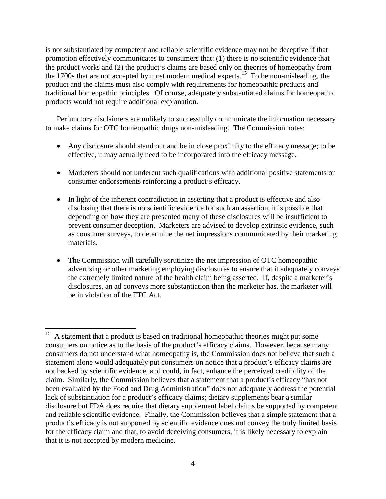is not substantiated by competent and reliable scientific evidence may not be deceptive if that promotion effectively communicates to consumers that: (1) there is no scientific evidence that the product works and (2) the product's claims are based only on theories of homeopathy from the 1700s that are not accepted by most modern medical experts.<sup>15</sup> To be non-misleading, the product and the claims must also comply with requirements for homeopathic products and traditional homeopathic principles. Of course, adequately substantiated claims for homeopathic products would not require additional explanation.

Perfunctory disclaimers are unlikely to successfully communicate the information necessary to make claims for OTC homeopathic drugs non-misleading. The Commission notes:

- Any disclosure should stand out and be in close proximity to the efficacy message; to be effective, it may actually need to be incorporated into the efficacy message.
- Marketers should not undercut such qualifications with additional positive statements or consumer endorsements reinforcing a product's efficacy.
- In light of the inherent contradiction in asserting that a product is effective and also disclosing that there is no scientific evidence for such an assertion, it is possible that depending on how they are presented many of these disclosures will be insufficient to prevent consumer deception. Marketers are advised to develop extrinsic evidence, such as consumer surveys, to determine the net impressions communicated by their marketing materials.
- The Commission will carefully scrutinize the net impression of OTC homeopathic advertising or other marketing employing disclosures to ensure that it adequately conveys the extremely limited nature of the health claim being asserted. If, despite a marketer's disclosures, an ad conveys more substantiation than the marketer has, the marketer will be in violation of the FTC Act.

<span id="page-3-0"></span><sup>15</sup> 15 A statement that a product is based on traditional homeopathic theories might put some consumers on notice as to the basis of the product's efficacy claims. However, because many consumers do not understand what homeopathy is, the Commission does not believe that such a statement alone would adequately put consumers on notice that a product's efficacy claims are not backed by scientific evidence, and could, in fact, enhance the perceived credibility of the claim. Similarly, the Commission believes that a statement that a product's efficacy "has not been evaluated by the Food and Drug Administration" does not adequately address the potential lack of substantiation for a product's efficacy claims; dietary supplements bear a similar disclosure but FDA does require that dietary supplement label claims be supported by competent and reliable scientific evidence. Finally, the Commission believes that a simple statement that a product's efficacy is not supported by scientific evidence does not convey the truly limited basis for the efficacy claim and that, to avoid deceiving consumers, it is likely necessary to explain that it is not accepted by modern medicine.